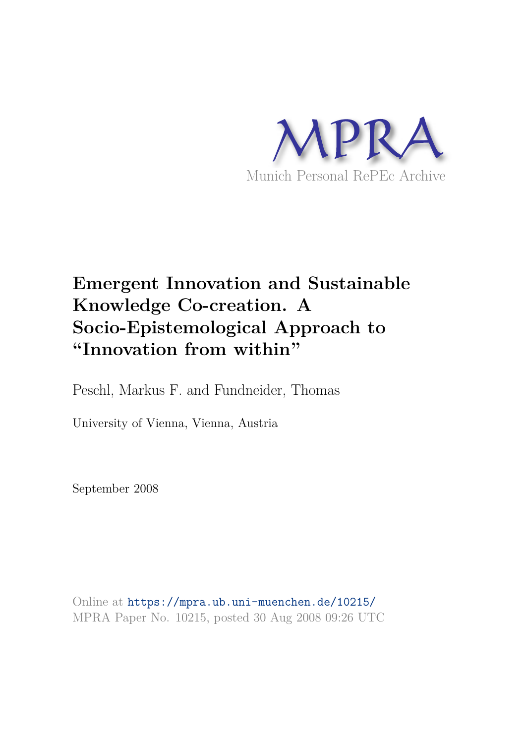

## **Emergent Innovation and Sustainable Knowledge Co-creation. A Socio-Epistemological Approach to "Innovation from within"**

Peschl, Markus F. and Fundneider, Thomas

University of Vienna, Vienna, Austria

September 2008

Online at https://mpra.ub.uni-muenchen.de/10215/ MPRA Paper No. 10215, posted 30 Aug 2008 09:26 UTC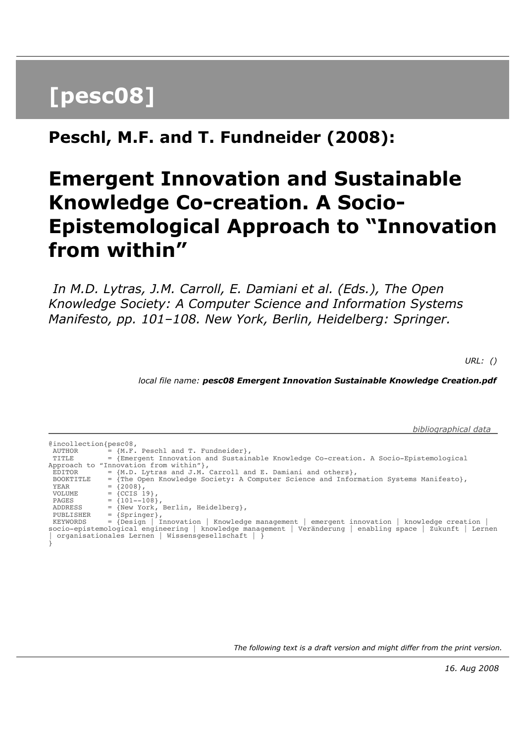# **[pesc08]**

### **Peschl, M.F. and T. Fundneider (2008):**

# **Emergent Innovation and Sustainable Knowledge Co-creation. A Socio-Epistemological Approach to "Innovation from within"**

 *In M.D. Lytras, J.M. Carroll, E. Damiani et al. (Eds.), The Open Knowledge Society: A Computer Science and Information Systems Manifesto, pp. 101–108. New York, Berlin, Heidelberg: Springer.*

*URL: ()*

*local file name: pesc08 Emergent Innovation Sustainable Knowledge Creation.pdf*

 *bibliographical data* 

@incollection{pesc08, AUTHOR  $= \{M.F. \text{ Peschl and } T. \text{ Fundneider}\},$ AUTHUR - THEST LESSIN UNITED THEORY ... THEORY ... THEORY ... TITLE = {Emergent Innovation and Sustainable Knowledge Co-creation. A Socio-Epistemological Approach to "Innovation from within"}, EDITOR  $= \{M.D. \text{Lytras and } J.M. \text{ Carroll and E. Damiani and others}\},$ BOOKTITLE = {The Open Knowledge Society: A Computer Science and Information Systems Manifesto},<br>BOOKTITLE = {The Open Knowledge Society: A Computer Science and Information Systems Manifesto},  $YEAR = \{2008\},$  $VOLUME = \{CCIS 19\},$ PAGES  $= \{101 - 108\},$ <br>ADDRESS  $= \{New York,$ ADDRESS = {New York, Berlin, Heidelberg},<br>PUBLISHER = {Springer}, PUBLISHER = {Springer}, KEYWORDS = {Design | Innovation | Knowledge management | emergent innovation | knowledge creation | socio-epistemological engineering | knowledge management | Veränderung | enabling space | Zukunft | Lernen | organisationales Lernen | Wissensgesellschaft | } }

*The following text is a draft version and might differ from the print version.*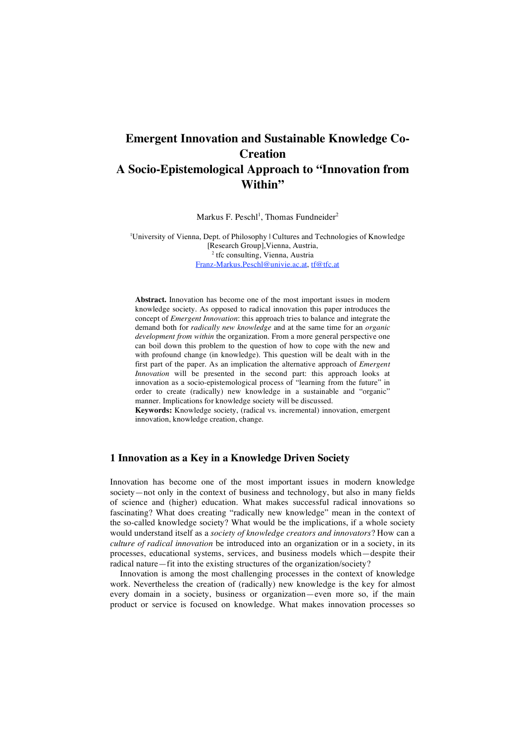### **Emergent Innovation and Sustainable Knowledge Co-Creation A Socio-Epistemological Approach to "Innovation from Within"**

Markus F. Peschl<sup>1</sup>, Thomas Fundneider<sup>2</sup>

<sup>1</sup>University of Vienna, Dept. of Philosophy | Cultures and Technologies of Knowledge [Research Group],Vienna, Austria, <sup>2</sup> tfc consulting, Vienna, Austria Franz-Markus.Peschl@univie.ac.at, tf@tfc.at

**Abstract.** Innovation has become one of the most important issues in modern knowledge society. As opposed to radical innovation this paper introduces the concept of *Emergent Innovation*: this approach tries to balance and integrate the demand both for *radically new knowledge* and at the same time for an *organic development from within* the organization. From a more general perspective one can boil down this problem to the question of how to cope with the new and with profound change (in knowledge). This question will be dealt with in the first part of the paper. As an implication the alternative approach of *Emergent Innovation* will be presented in the second part: this approach looks at innovation as a socio-epistemological process of "learning from the future" in order to create (radically) new knowledge in a sustainable and "organic" manner. Implications for knowledge society will be discussed.

**Keywords:** Knowledge society, (radical vs. incremental) innovation, emergent innovation, knowledge creation, change.

#### **1 Innovation as a Key in a Knowledge Driven Society**

Innovation has become one of the most important issues in modern knowledge society—not only in the context of business and technology, but also in many fields of science and (higher) education. What makes successful radical innovations so fascinating? What does creating "radically new knowledge" mean in the context of the so-called knowledge society? What would be the implications, if a whole society would understand itself as a *society of knowledge creators and innovators*? How can a *culture of radical innovation* be introduced into an organization or in a society, in its processes, educational systems, services, and business models which—despite their radical nature—fit into the existing structures of the organization/society?

Innovation is among the most challenging processes in the context of knowledge work. Nevertheless the creation of (radically) new knowledge is the key for almost every domain in a society, business or organization—even more so, if the main product or service is focused on knowledge. What makes innovation processes so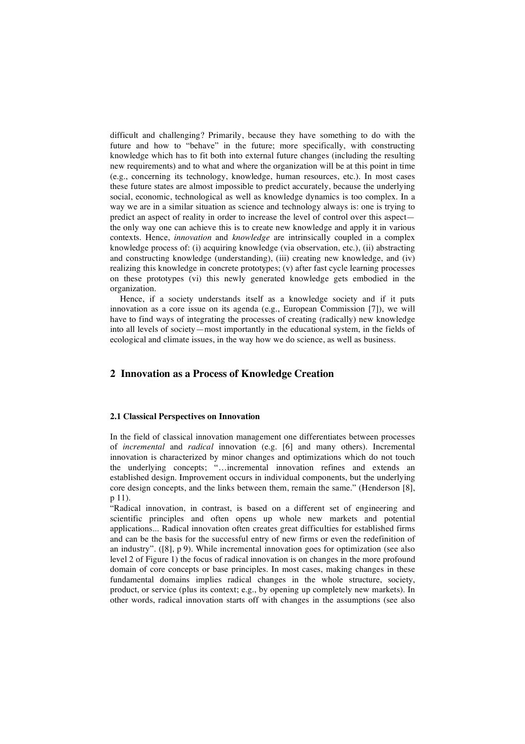difficult and challenging? Primarily, because they have something to do with the future and how to "behave" in the future; more specifically, with constructing knowledge which has to fit both into external future changes (including the resulting new requirements) and to what and where the organization will be at this point in time (e.g., concerning its technology, knowledge, human resources, etc.). In most cases these future states are almost impossible to predict accurately, because the underlying social, economic, technological as well as knowledge dynamics is too complex. In a way we are in a similar situation as science and technology always is: one is trying to predict an aspect of reality in order to increase the level of control over this aspect the only way one can achieve this is to create new knowledge and apply it in various contexts. Hence, *innovation* and *knowledge* are intrinsically coupled in a complex knowledge process of: (i) acquiring knowledge (via observation, etc.), (ii) abstracting and constructing knowledge (understanding), (iii) creating new knowledge, and (iv) realizing this knowledge in concrete prototypes; (v) after fast cycle learning processes on these prototypes (vi) this newly generated knowledge gets embodied in the organization.

Hence, if a society understands itself as a knowledge society and if it puts innovation as a core issue on its agenda (e.g., European Commission [7]), we will have to find ways of integrating the processes of creating (radically) new knowledge into all levels of society—most importantly in the educational system, in the fields of ecological and climate issues, in the way how we do science, as well as business.

#### **2 Innovation as a Process of Knowledge Creation**

#### **2.1 Classical Perspectives on Innovation**

In the field of classical innovation management one differentiates between processes of *incremental* and *radical* innovation (e.g. [6] and many others). Incremental innovation is characterized by minor changes and optimizations which do not touch the underlying concepts; "…incremental innovation refines and extends an established design. Improvement occurs in individual components, but the underlying core design concepts, and the links between them, remain the same." (Henderson [8], p 11).

"Radical innovation, in contrast, is based on a different set of engineering and scientific principles and often opens up whole new markets and potential applications... Radical innovation often creates great difficulties for established firms and can be the basis for the successful entry of new firms or even the redefinition of an industry". ([8], p 9). While incremental innovation goes for optimization (see also level 2 of Figure 1) the focus of radical innovation is on changes in the more profound domain of core concepts or base principles. In most cases, making changes in these fundamental domains implies radical changes in the whole structure, society, product, or service (plus its context; e.g., by opening up completely new markets). In other words, radical innovation starts off with changes in the assumptions (see also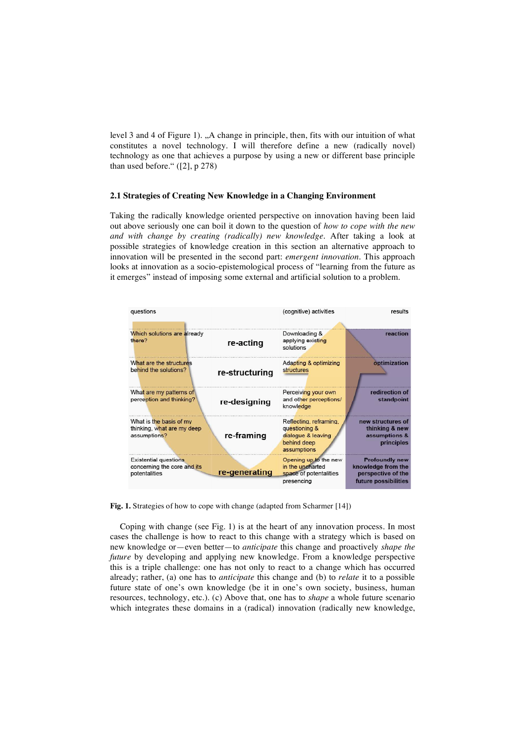level 3 and 4 of Figure 1). "A change in principle, then, fits with our intuition of what constitutes a novel technology. I will therefore define a new (radically novel) technology as one that achieves a purpose by using a new or different base principle than used before." ([2], p 278)

#### **2.1 Strategies of Creating New Knowledge in a Changing Environment**

Taking the radically knowledge oriented perspective on innovation having been laid out above seriously one can boil it down to the question of *how to cope with the new and with change by creating (radically) new knowledge*. After taking a look at possible strategies of knowledge creation in this section an alternative approach to innovation will be presented in the second part: *emergent innovation*. This approach looks at innovation as a socio-epistemological process of "learning from the future as it emerges" instead of imposing some external and artificial solution to a problem.



**Fig. 1.** Strategies of how to cope with change (adapted from Scharmer [14])

Coping with change (see Fig. 1) is at the heart of any innovation process. In most cases the challenge is how to react to this change with a strategy which is based on new knowledge or—even better—to *anticipate* this change and proactively *shape the future* by developing and applying new knowledge. From a knowledge perspective this is a triple challenge: one has not only to react to a change which has occurred already; rather, (a) one has to *anticipate* this change and (b) to *relate* it to a possible future state of one's own knowledge (be it in one's own society, business, human resources, technology, etc.). (c) Above that, one has to *shape* a whole future scenario which integrates these domains in a (radical) innovation (radically new knowledge,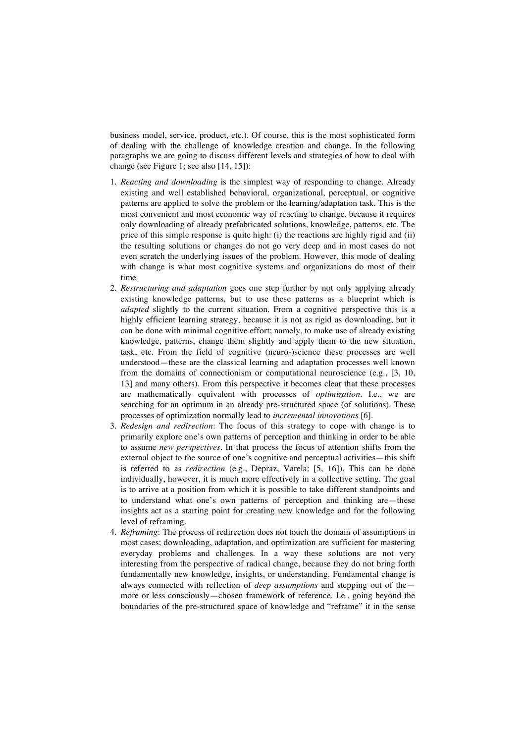business model, service, product, etc.). Of course, this is the most sophisticated form of dealing with the challenge of knowledge creation and change. In the following paragraphs we are going to discuss different levels and strategies of how to deal with change (see Figure 1; see also [14, 15]):

- 1. *Reacting and downloading* is the simplest way of responding to change. Already existing and well established behavioral, organizational, perceptual, or cognitive patterns are applied to solve the problem or the learning/adaptation task. This is the most convenient and most economic way of reacting to change, because it requires only downloading of already prefabricated solutions, knowledge, patterns, etc. The price of this simple response is quite high: (i) the reactions are highly rigid and (ii) the resulting solutions or changes do not go very deep and in most cases do not even scratch the underlying issues of the problem. However, this mode of dealing with change is what most cognitive systems and organizations do most of their time.
- 2. *Restructuring and adaptation* goes one step further by not only applying already existing knowledge patterns, but to use these patterns as a blueprint which is *adapted* slightly to the current situation. From a cognitive perspective this is a highly efficient learning strategy, because it is not as rigid as downloading, but it can be done with minimal cognitive effort; namely, to make use of already existing knowledge, patterns, change them slightly and apply them to the new situation, task, etc. From the field of cognitive (neuro-)science these processes are well understood—these are the classical learning and adaptation processes well known from the domains of connectionism or computational neuroscience (e.g., [3, 10, 13] and many others). From this perspective it becomes clear that these processes are mathematically equivalent with processes of *optimization*. I.e., we are searching for an optimum in an already pre-structured space (of solutions). These processes of optimization normally lead to *incremental innovations* [6].
- 3. *Redesign and redirection*: The focus of this strategy to cope with change is to primarily explore one's own patterns of perception and thinking in order to be able to assume *new perspectives*. In that process the focus of attention shifts from the external object to the source of one's cognitive and perceptual activities—this shift is referred to as *redirection* (e.g., Depraz, Varela; [5, 16]). This can be done individually, however, it is much more effectively in a collective setting. The goal is to arrive at a position from which it is possible to take different standpoints and to understand what one's own patterns of perception and thinking are—these insights act as a starting point for creating new knowledge and for the following level of reframing.
- 4. *Reframing*: The process of redirection does not touch the domain of assumptions in most cases; downloading, adaptation, and optimization are sufficient for mastering everyday problems and challenges. In a way these solutions are not very interesting from the perspective of radical change, because they do not bring forth fundamentally new knowledge, insights, or understanding. Fundamental change is always connected with reflection of *deep assumptions* and stepping out of the more or less consciously—chosen framework of reference. I.e., going beyond the boundaries of the pre-structured space of knowledge and "reframe" it in the sense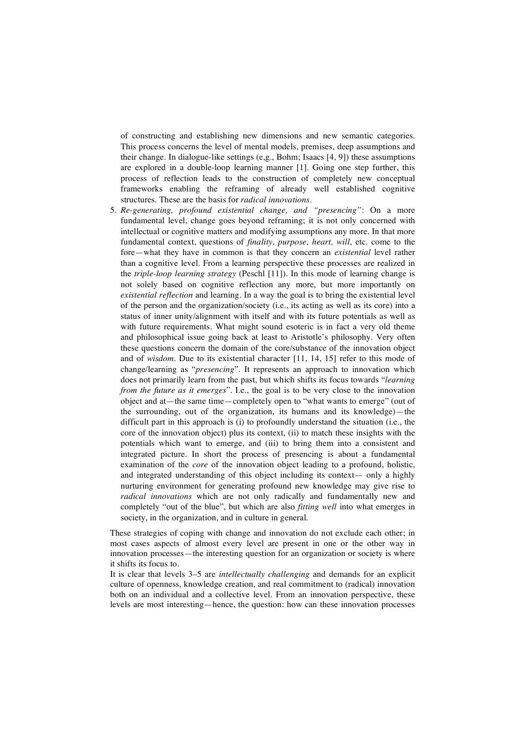of constructing and establishing new dimensions and new semantic categories. This process concerns the level of mental models, premises, deep assumptions and their change. In dialogue-like settings (e,g., Bohm; Isaacs [4, 9]) these assumptions are explored in a double-loop learning manner [1]. Going one step further, this process of reflection leads to the construction of completely new conceptual frameworks enabling the reframing of already well established cognitive structures. These are the basis for *radical innovations*.

5. *Re-generating, profound existential change, and "presencing"*: On a more fundamental level, change goes beyond reframing; it is not only concerned with intellectual or cognitive matters and modifying assumptions any more. In that more fundamental context, questions of *finality, purpose, heart, will*, etc. come to the fore—what they have in common is that they concern an *existential* level rather than a cognitive level. From a learning perspective these processes are realized in the *triple-loop learning strategy* (Peschl [11]). In this mode of learning change is not solely based on cognitive reflection any more, but more importantly on *existential reflection* and learning. In a way the goal is to bring the existential level of the person and the organization/society (i.e., its acting as well as its core) into a status of inner unity/alignment with itself and with its future potentials as well as with future requirements. What might sound esoteric is in fact a very old theme and philosophical issue going back at least to Aristotle's philosophy. Very often these questions concern the domain of the core/substance of the innovation object and of *wisdom*. Due to its existential character [11, 14, 15] refer to this mode of change/learning as "*presencing*". It represents an approach to innovation which does not primarily learn from the past, but which shifts its focus towards "*learning from the future as it emerges*". I.e., the goal is to be very close to the innovation object and at—the same time—completely open to "what wants to emerge" (out of the surrounding, out of the organization, its humans and its knowledge)—the difficult part in this approach is (i) to profoundly understand the situation (i.e., the core of the innovation object) plus its context, (ii) to match these insights with the potentials which want to emerge, and (iii) to bring them into a consistent and integrated picture. In short the process of presencing is about a fundamental examination of the *core* of the innovation object leading to a profound, holistic, and integrated understanding of this object including its context— only a highly nurturing environment for generating profound new knowledge may give rise to *radical innovations* which are not only radically and fundamentally new and completely "out of the blue", but which are also *fitting well* into what emerges in society, in the organization, and in culture in general.

These strategies of coping with change and innovation do not exclude each other; in most cases aspects of almost every level are present in one or the other way in innovation processes—the interesting question for an organization or society is where it shifts its focus to.

It is clear that levels 3–5 are *intellectually challenging* and demands for an explicit culture of openness, knowledge creation, and real commitment to (radical) innovation both on an individual and a collective level. From an innovation perspective, these levels are most interesting—hence, the question: how can these innovation processes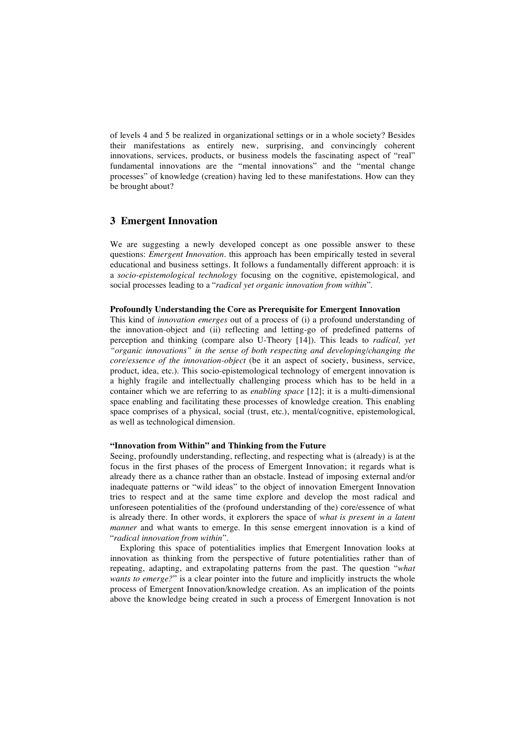of levels 4 and 5 be realized in organizational settings or in a whole society? Besides their manifestations as entirely new, surprising, and convincingly coherent innovations, services, products, or business models the fascinating aspect of "real" fundamental innovations are the "mental innovations" and the "mental change processes" of knowledge (creation) having led to these manifestations. How can they be brought about?

#### **3 Emergent Innovation**

We are suggesting a newly developed concept as one possible answer to these questions: *Emergent Innovation*. this approach has been empirically tested in several educational and business settings. It follows a fundamentally different approach: it is a *socio-epistemological technology* focusing on the cognitive, epistemological, and social processes leading to a "*radical yet organic innovation from within*".

#### **Profoundly Understanding the Core as Prerequisite for Emergent Innovation**

This kind of *innovation emerges* out of a process of (i) a profound understanding of the innovation-object and (ii) reflecting and letting-go of predefined patterns of perception and thinking (compare also U-Theory [14]). This leads to *radical, yet "organic innovations" in the sense of both respecting and developing/changing the core/essence of the innovation-object* (be it an aspect of society, business, service, product, idea, etc.). This socio-epistemological technology of emergent innovation is a highly fragile and intellectually challenging process which has to be held in a container which we are referring to as *enabling space* [12]; it is a multi-dimensional space enabling and facilitating these processes of knowledge creation. This enabling space comprises of a physical, social (trust, etc.), mental/cognitive, epistemological, as well as technological dimension.

#### **"Innovation from Within" and Thinking from the Future**

Seeing, profoundly understanding, reflecting, and respecting what is (already) is at the focus in the first phases of the process of Emergent Innovation; it regards what is already there as a chance rather than an obstacle. Instead of imposing external and/or inadequate patterns or "wild ideas" to the object of innovation Emergent Innovation tries to respect and at the same time explore and develop the most radical and unforeseen potentialities of the (profound understanding of the) core/essence of what is already there. In other words, it explorers the space of *what is present in a latent manner* and what wants to emerge. In this sense emergent innovation is a kind of "*radical innovation from within*".

Exploring this space of potentialities implies that Emergent Innovation looks at innovation as thinking from the perspective of future potentialities rather than of repeating, adapting, and extrapolating patterns from the past. The question "*what wants to emerge?*" is a clear pointer into the future and implicitly instructs the whole process of Emergent Innovation/knowledge creation. As an implication of the points above the knowledge being created in such a process of Emergent Innovation is not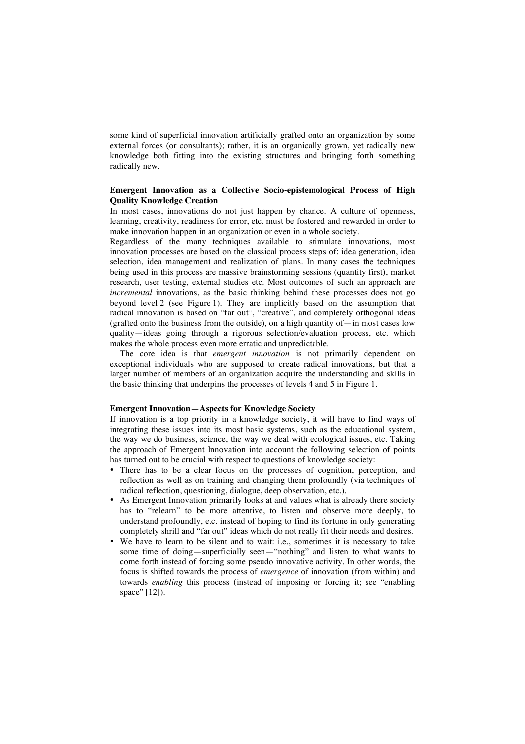some kind of superficial innovation artificially grafted onto an organization by some external forces (or consultants); rather, it is an organically grown, yet radically new knowledge both fitting into the existing structures and bringing forth something radically new.

#### **Emergent Innovation as a Collective Socio-epistemological Process of High Quality Knowledge Creation**

In most cases, innovations do not just happen by chance. A culture of openness, learning, creativity, readiness for error, etc. must be fostered and rewarded in order to make innovation happen in an organization or even in a whole society.

Regardless of the many techniques available to stimulate innovations, most innovation processes are based on the classical process steps of: idea generation, idea selection, idea management and realization of plans. In many cases the techniques being used in this process are massive brainstorming sessions (quantity first), market research, user testing, external studies etc. Most outcomes of such an approach are *incremental* innovations, as the basic thinking behind these processes does not go beyond level 2 (see Figure 1). They are implicitly based on the assumption that radical innovation is based on "far out", "creative", and completely orthogonal ideas (grafted onto the business from the outside), on a high quantity of—in most cases low quality—ideas going through a rigorous selection/evaluation process, etc. which makes the whole process even more erratic and unpredictable.

The core idea is that *emergent innovation* is not primarily dependent on exceptional individuals who are supposed to create radical innovations, but that a larger number of members of an organization acquire the understanding and skills in the basic thinking that underpins the processes of levels 4 and 5 in Figure 1.

#### **Emergent Innovation—Aspects for Knowledge Society**

If innovation is a top priority in a knowledge society, it will have to find ways of integrating these issues into its most basic systems, such as the educational system, the way we do business, science, the way we deal with ecological issues, etc. Taking the approach of Emergent Innovation into account the following selection of points has turned out to be crucial with respect to questions of knowledge society:

- There has to be a clear focus on the processes of cognition, perception, and reflection as well as on training and changing them profoundly (via techniques of radical reflection, questioning, dialogue, deep observation, etc.).
- As Emergent Innovation primarily looks at and values what is already there society has to "relearn" to be more attentive, to listen and observe more deeply, to understand profoundly, etc. instead of hoping to find its fortune in only generating completely shrill and "far out" ideas which do not really fit their needs and desires.
- We have to learn to be silent and to wait: i.e., sometimes it is necessary to take some time of doing—superficially seen—"nothing" and listen to what wants to come forth instead of forcing some pseudo innovative activity. In other words, the focus is shifted towards the process of *emergence* of innovation (from within) and towards *enabling* this process (instead of imposing or forcing it; see "enabling space" [12]).